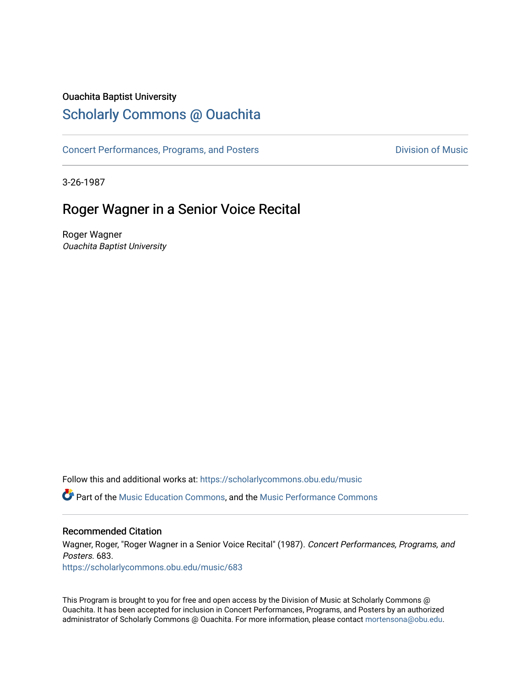#### Ouachita Baptist University

## [Scholarly Commons @ Ouachita](https://scholarlycommons.obu.edu/)

[Concert Performances, Programs, and Posters](https://scholarlycommons.obu.edu/music) **Division of Music** Division of Music

3-26-1987

## Roger Wagner in a Senior Voice Recital

Roger Wagner Ouachita Baptist University

Follow this and additional works at: [https://scholarlycommons.obu.edu/music](https://scholarlycommons.obu.edu/music?utm_source=scholarlycommons.obu.edu%2Fmusic%2F683&utm_medium=PDF&utm_campaign=PDFCoverPages) 

Part of the [Music Education Commons,](http://network.bepress.com/hgg/discipline/1246?utm_source=scholarlycommons.obu.edu%2Fmusic%2F683&utm_medium=PDF&utm_campaign=PDFCoverPages) and the [Music Performance Commons](http://network.bepress.com/hgg/discipline/1128?utm_source=scholarlycommons.obu.edu%2Fmusic%2F683&utm_medium=PDF&utm_campaign=PDFCoverPages) 

#### Recommended Citation

Wagner, Roger, "Roger Wagner in a Senior Voice Recital" (1987). Concert Performances, Programs, and Posters. 683.

[https://scholarlycommons.obu.edu/music/683](https://scholarlycommons.obu.edu/music/683?utm_source=scholarlycommons.obu.edu%2Fmusic%2F683&utm_medium=PDF&utm_campaign=PDFCoverPages) 

This Program is brought to you for free and open access by the Division of Music at Scholarly Commons @ Ouachita. It has been accepted for inclusion in Concert Performances, Programs, and Posters by an authorized administrator of Scholarly Commons @ Ouachita. For more information, please contact [mortensona@obu.edu](mailto:mortensona@obu.edu).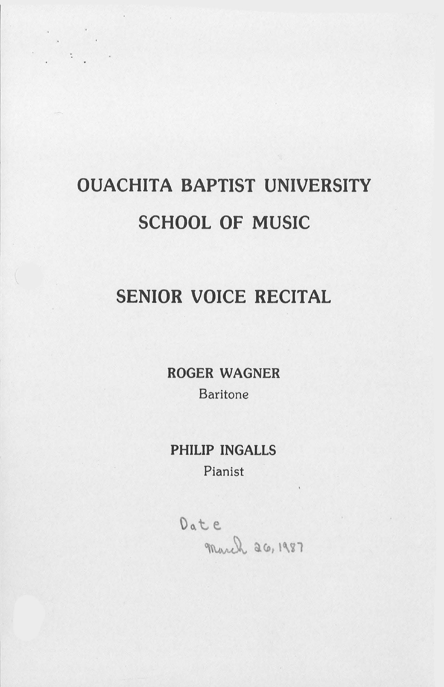# OUACHITA BAPTIST UNIVERSITY SCHOOL OF MUSIC

## SENIOR VOICE RECITAL

ROGER WAGNER Baritone

### PHILIP INGALLS Pianist